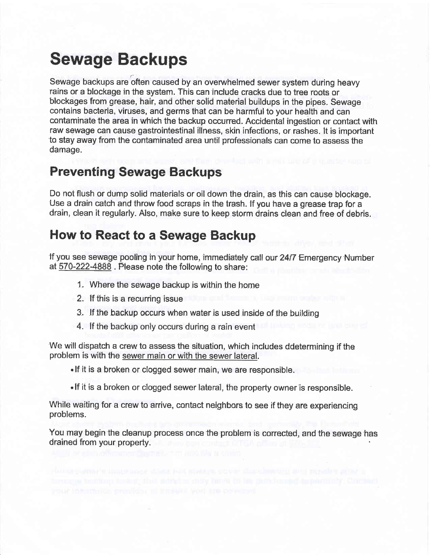# Sewage Backups

Sewage backups are often caused by an overwhelmed sewer system during heavy rains or a blockage in the system. This can inctude cracks due to tree roots or blockages from grease, hair, and other solid material buildups in the pipes. Sewage contains bacteria, viruses, and germs that can be harmful to your health and can contaminate the area in which the backup occurred. Accidental ingestion or contact with raw sewage can cause gastrointestinal illness, skin infections, or rashes. It is important to stay away from the contaminated area until professionals can come to assess the damage.

# Preventing Sewage Backups

Do not flush or dump solid materials or oil down the drain, as this can cause blockage. Use a drain catch and throw food scraps in the trash. lf you have a grease trap for a drain, ciean it reguiarly. Also, make sure to keep storm drains ciean and iree of debris.

### How to React to a Sewage Backup

lf'you see sewage pooling in your home, immediatety catl our 2417 Emergency-Number at  $570-222-4888$ . Please note the following to share:

- 1. Where the sewage backup is withjn the home
- 2. lf this is a recurring issue
- 3, If the backup occurs when water is used inside of the building
- 4. lf the backup only occurs during a rain event

We will dispatch a crew to assess the situation, which includes ddetermining if the problem is with the sewer main or with the sewer lateral.

.lf it is a broken or clogged sewer main, we are responsible.

. If it is a broken or clogged sewer lateral, the property owner is responsible.

While waiting for a crew to arrive, contact neighhors to see if they are experiencing problems.

You may begin the cleanup process once the problem is corrected, and the sewage has drained from your property.